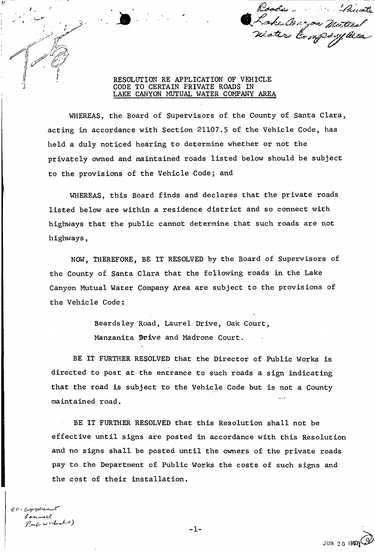Roods River Loke Congon Matical

RESOLUTION RE APPLICATION OF VEHICLE CODE TO CERTAIN PRIVATE ROADS IN LAKE CANYON MUTUAL WATER COMPANY AREA

WHEREAS, the Board of Supervisors of the County of Santa Clara, acting in accordance with Section 21107.5 of the Vehicle Code, has held a duly noticed hearing to determine whether or not the privately owned and maintained roads listed below should be subject to the provisions of the Vehicle Code; and

WHEREAS, this Board finds and declares that the private roads listed below are within a residence district and so connect with highways that the public cannot determine that such roads are not highways,

NOW, THEREFORE, BE IT RESOLVED by the Board of Supervisors of the County of Santa Clara that the following roads in the Lake Canyon Mutual Water Company Area are subject to the provisions of the Vehicle Code:

> Beardsley Road, Laurel Drive, Oak Court, Manzanita ©rive and Madrone Court.

BE IT FURTHER RESOLVED that the Director of Public Works is directed to post at the entrance to such roads a sign indicating that the road is subject to the Vehicle Code but is not a County maintained road.

BE IT FURTHER RESOLVED that this Resolution shall not be effective until signs are posted in accordance with this Resolution and no signs shall be posted until the owners of the private roads pay to the Department of Public Works the costs of such signs and the cost of their installation.

 $c$  o Complete Pub workshot

l

JUN 20 195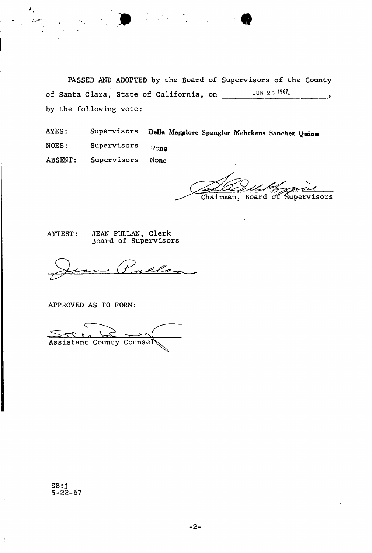PASSED AND ADOPTED by the Board of Supervisors of the County of Santa Clara, State of California, on JUN 2 0 ? by the following vote:

 $\bullet$ 

AYES: Supervisors Della Maggiorc Spangler Mehrkens Sanchez Quinn  $NOES:$  Supervisors  $N<sub>O</sub>$   $N<sub>O</sub>$   $N<sub>O</sub>$ ABSENT: Supervisors None

Chairman, Board of Supervisors

ATTEST: JEAN PULLAN, Clerk Board of Supervisors

els

APPROVED AS TO FORM:

Assistant County Counse

SB: j 5-22-67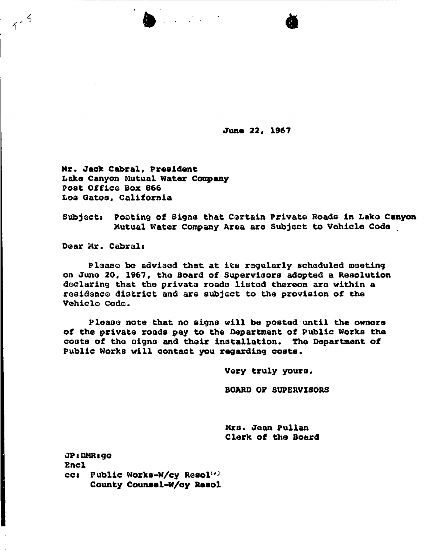**June 22, 1967** 

 $\bullet$  and  $\bullet$ 

Mr. Jack Cabral, President Lake Canyon Mutual Water Company Post Office Box 866 **Los Gatos, California** 

**Subjects Footing of Signa that Certain Private Roads in Lake Canyon Mutual Water Company Area are Subject to Vehicle Code** 

Dear Mr. Cabral:

 $1.5$ 

**Please bo advised that at its regularly scheduled meeting on June 20, 1967, tho Board of Supervisors adopted a Resolution declaring that the private roadd 1isted thereon are within a residence district and are subject to the provision of the Vehicle Code.** 

**Please note that no signs will be posted until the owners of the private roads pay to the Department of Public Works the costs of the signs and their installation. The Department of Public Works will contact you regarding oosts.** 

**Very truly yours,** 

**BOARD 07 SUPERVISORS** 

**Mrs. Jean Pullan Clerk of the Board** 

JP: DMR: gc **Encl cc:** Public Works-W/cy Resol<sup>(v)</sup> **County Counsel-W/qy Resol**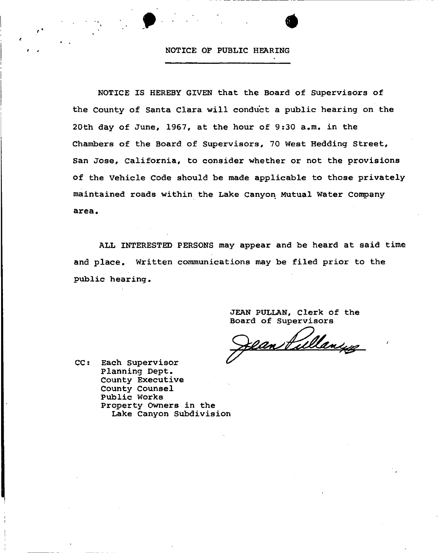#### **NOTICE OP PUBLIC HEARING**

 $\bullet$  . The set of  $\bullet$ 

**NOTICE IS HEREBY GIVEN that the Board of Supervisors of the County of Santa Clara will conduct a public hearing on the 20th day of June, 1967, at the hour of 9:30 a.m. in the Chambers of the Board of Supervisors, 70 West Hedding Street, San Jose, California, to consider whether or not the provisions of the Vehicle Code should be made applicable to those privately maintained roads within the Lake canyon Mutual Water Company area.** 

**ALL INTERESTED PERSONS may appear and be heard at said time and place. Written communications may be filed prior to the public hearing.** 

> **JEAN PULLAN, Clerk of the Board of Supervisors**

Can Pullangs

**CC: Each Supervisor Planning Dept. County Executive County Counsel Public Works Property Owners in the Lake Canyon Subdivision**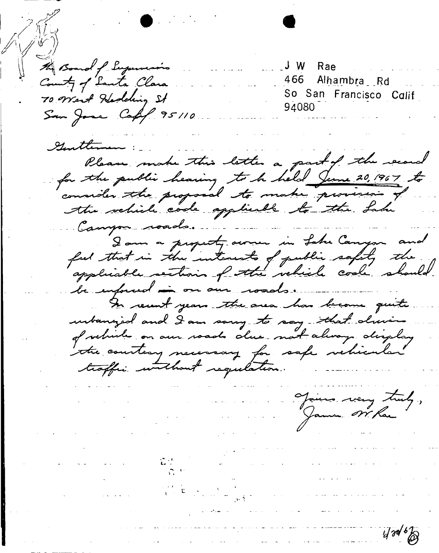the Board of Supervision Rae J W J 466 Alhambra Rd County of Lanta Clara So San Francisco Calif 70 West Hedding St 94080 San Jose Cafif 95110 Gentleman Please make this letter a part of the record for the public hearing to be held June 20, 1967 to consider the proposal to make provision of the vehicle code applicable to the Lake Campos roads. Jour a property aware in Lake Canyon and<br>feel that in the interests of public safety the be informed in our woods. In recent years the area has become quite urbanized and I am song to say that during of vehicles on our roads alue not always display the countery necessary for safe vehicular traffic without regulation. Jaime very truly, James Nr Rac  $1/30/6$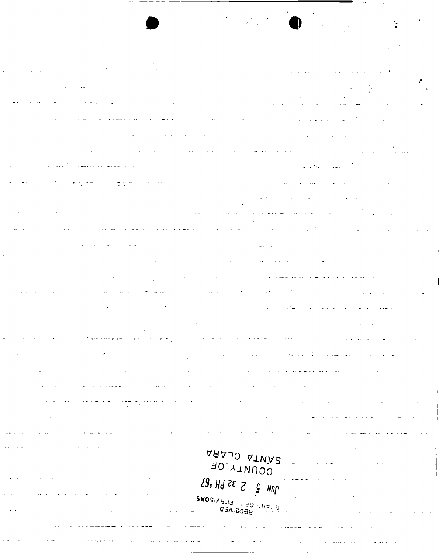| $\bullet$                                                                                                                                                                                                                                                                                        |  |
|--------------------------------------------------------------------------------------------------------------------------------------------------------------------------------------------------------------------------------------------------------------------------------------------------|--|
|                                                                                                                                                                                                                                                                                                  |  |
|                                                                                                                                                                                                                                                                                                  |  |
|                                                                                                                                                                                                                                                                                                  |  |
|                                                                                                                                                                                                                                                                                                  |  |
|                                                                                                                                                                                                                                                                                                  |  |
| المناجي المنتج المتعدد والمتحدة المنادي المعادل المواطن المنتج المناطق المناطق المستعدد كالسابق المناطق المناطق                                                                                                                                                                                  |  |
| a de la construcción de la construcción de la construcción de la construcción de la construcción de la constru                                                                                                                                                                                   |  |
| المستمر المتوجود والمنافي والمتوجب ولإسراء والتواطن والمتواطن المنافر والمنافر والمستحر الباسم التراسي                                                                                                                                                                                           |  |
| الليان المصادر والأربيطين الكميم التي تي السادرة المستادر المناجع التي المناطق <del>سمع منسوب المس</del> تادر التي التي الم                                                                                                                                                                      |  |
| ا المواضح التي توسط المواضح المواضح المواضح المواضح المواضح المواضح المواضح المواضح المواضح المواضح المواضح الم                                                                                                                                                                                  |  |
| a se provincia de la construcción de la construcción de la construcción de la construcción de la construcción<br>En 1930, en la construcción de la construcción de la construcción de la construcción de la construcción de la                                                                   |  |
| , which is a set of the continuous continuous continuous continuous continuous continuous continuous continuous continuous continuous continuous continuous continuous continuous continuous continuous continuous continuous<br>المتوارد والمحاركين والمحارب المحارب والمحارب والمحارب والمحارب |  |
| الموارد التي التي توارد ال <mark>مشاجر والمس</mark> ار لسوس المتحدة الموارد المتحدة والمحدة ل <del>موس</del> وق الموارد الموارد الموسى                                                                                                                                                           |  |
| a sa kabupatèn Kabupatèn Bandung Kabupatèn Kabupatèn Kabupatèn Kabupatèn Kabupatèn Kabupatèn Kabupatèn Kabupat<br>Kabupatèn Kabupatèn Kabupatèn Kabupatèn Kabupatèn Kabupatèn Kabupatèn Kabupatèn Kabupatèn Kabupatèn Kabupatèn                                                                  |  |
| n<br>Se territorio de la componentación de la construcción de la construcción de la construcción de la construcción<br>Se território de la construcción de la construcción de la construcción de la construcción de la construcción                                                              |  |
| . در این این است سید <del>بر در در سید دخت کش</del> دهان از این این این میکند و <del>این در این این این این این این این این ای</del>                                                                                                                                                             |  |
| التوارد المتوسط المنابي والتراث المتلاي المتحدث والمتوسط المنافي المستقرح والمسابق والمنابي والمنابي والمعتدل                                                                                                                                                                                    |  |
| الليان والمستدر سالم المرتبطة ستريمة المتراكبين المستدر كالمعادل مصر والتي والعامل العاملية التي تصابح التي                                                                                                                                                                                      |  |
|                                                                                                                                                                                                                                                                                                  |  |
|                                                                                                                                                                                                                                                                                                  |  |
|                                                                                                                                                                                                                                                                                                  |  |
|                                                                                                                                                                                                                                                                                                  |  |
|                                                                                                                                                                                                                                                                                                  |  |
|                                                                                                                                                                                                                                                                                                  |  |
|                                                                                                                                                                                                                                                                                                  |  |
|                                                                                                                                                                                                                                                                                                  |  |
| DLARA                                                                                                                                                                                                                                                                                            |  |
| <b>ATNAS</b><br><b>AO YTNUOO</b>                                                                                                                                                                                                                                                                 |  |
| $29. HJ \approx 5$<br>NNP                                                                                                                                                                                                                                                                        |  |
| BROSINABON 10 THE                                                                                                                                                                                                                                                                                |  |
| <b>GEA.BOBB</b>                                                                                                                                                                                                                                                                                  |  |
|                                                                                                                                                                                                                                                                                                  |  |
|                                                                                                                                                                                                                                                                                                  |  |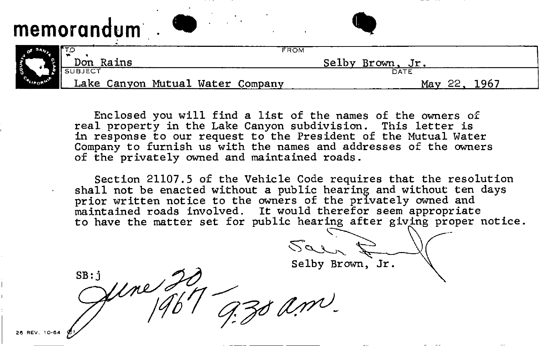# memorandum • **a**

|                 |           |                                  | FROM |                  |  |
|-----------------|-----------|----------------------------------|------|------------------|--|
| CALIFORNIA<br>м | Don Rains |                                  |      | Selby Brown, Jr. |  |
|                 |           |                                  |      | DATE             |  |
|                 |           | Lake Canyon Mutual Water Company |      |                  |  |

Enclosed you will find a list of the names of the owners of real property in the Lake Canyon subdivision. This letter is in response to our request to the President of the Mutual Water Company to furnish us with the names and addresses of the owners of the privately owned and maintained roads.

Section 21107.5 of the Vehicle Code requires that the resolution shall not be enacted without a public hearing and without ten days prior written notice to the owners of the privately owned and maintained roads involved. It would therefor seem appropriate to have the matter set for public hearing after giving proper notice.

Selby Brown, Jr.

Jene 20  $SB: j$ 30 am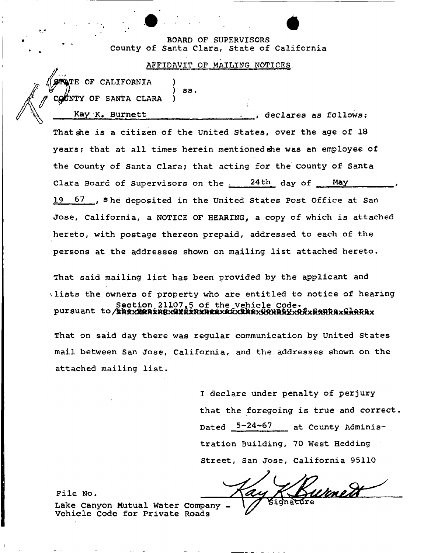## **BOARD OF SUPERVISORS County of Santa Clara, State of California**

#### **AFFIDAVIT OF MAILING NOTICES**

) SS.

*f* **CQPNTY OF SANTA CLARA )**  Kay K. Burnett declares as follows: **That die is a citizen of the United States, over the age of 18 years; that at all times herein mentioned she was an employee of the County of Santa Clara; that acting for the county of Santa Clara Board of Supervisors on the <sup>24</sup> th day of May 19 67 she deposited in the United States Post Office at San Jose, California, a NOTICE OF HEARING., a copy of which is attached hereto, with postage thereon prepaid, addressed to each of the persons at the addresses shown on mailing list attached hereto.** 

**That said mailing list has been provided by the applicant and lists the owners of property who are entitled to notice of hearing Section 21107.\$ of the Vehicle Code\* pursuant to** 

**That on said day there was regular communication by United States mail between San Jose, California, and the addresses shown on the attached mailing list.** 

> **I declare under penalty of perjury that the foregoing is true and correct Dated 5-24-67 at county Administration Building, 70 West Hedding Street, San Jose, California 95110**

urnett

**File No.** 

**faTE OF CALIFORNIA** 

**Lake Canyon Mutual Water Company - Vehicle Code for Private Roads**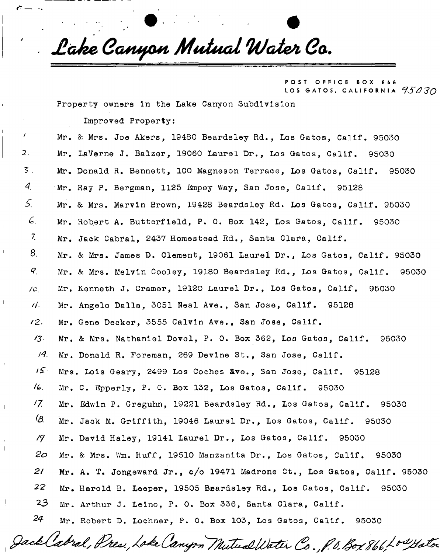*JlcJz e Gcuufxut Mutua l Wate/ i Ga .* 

POST OFFICE BOX 866 LOS GATOS, CALIFORNIA  $95030$ 

Property owners In the Lake Canyon Subdivision

Improved Property:

*r* —

Mr. & Mrs. Joe Akers, 19480 Beardsley Rd., Los Gatos, Calif. 95030  $\overline{\mathbf{z}}$  . Mr. LaVerne J. Balzer, 19060 Laurel Dr., Los Gatos, Calif. 95030  $\overline{3}$ . Mr. Donald R. Bennett, 100 Magneson Terrace, Los Gatos, Calif. 95030  $4$  Mr. Ray P. Bergman, 1125 Empey Way, San Jose, Calif. 95128 *S.* Mr. & Mrs. Marvin Brown, 19428 Beardsley Rd. Los Gatos, Calif. 95030 6. Mr. Robert A. Butterfield, P. 0. Box 142, Los Gatos, Calif. 95030 <sup>7</sup>- Mr. Jack Cabral, 2437 Homestead Rd., Santa Clara, Calif.  $8$ . Mr. & Mrs. James D. Clement, 19061 Laurel Dr., Los Gatos, Calif. 95030  $Q_{\perp}$ Mr. & Mrs. Melvin Cooley, 19180 Beardsley Rd., Los Gatos, Calif. 95030 /o. Mr. Kenneth J. Cramer, 19120 Laurel Dr., Los Gatos, Calif. 95030 //• Mr. Angelo Dalla, 3051 Neal Ave., San Jose, Calif. 95128 /2. Mr. Gene Decker, 3555 Calvin Ave., San Jose, Calif. '3- Mr. & Mrs. Nathaniel Dovel, P. 0. Box 362, Los Gatos, Calif. 95030 J4. Mr. Donald R. Foreman, 269 Devine St., San Jose, Calif.  $15$ <sup>T</sup>Mrs. Lois Geary, 2499 Los Coches Ave., San Jose, Calif. 95128  $/6.$ Mr. C. Epperly, P. 0. Box 132, Los Gatos, Calif. 95030 'Z Mr. Sdwin P. Greguhn, 19221 Beardsley Rd., Los Gatos, Calif. 95030 'A Mr. Jack M. Griffith, 19046 Laurel Dr., Los Gatos, Calif. 95030 /? Mr. David Haley, 19141 Laurel Dr., Los Gatos, Calif. 95030 *2o* Mr. & Mrs. Win. Huff, 19510 Manzanita Dr., Los Gatos, Calif. 95030 2/ Mr. A. T. Jongeward Jr.,  $c/c$  19471 Madrone Ct., Los Gatos, Calif. 95030 22 Mr. Harold B. Leeper, 19505 Beardsley Rd., Los Gatos, Calif. 95030 23 Mr. Arthur J. Leino, P. O. Box 336, Santa Clara, Calif. 24 Mr. Robert D. Lochner, P. 0. Box 103, Los Gatos, Calif. 95030

Jack (abral, Pres., Loke Canyon Mutual Water Co., P.O. Box 866, Lo Yote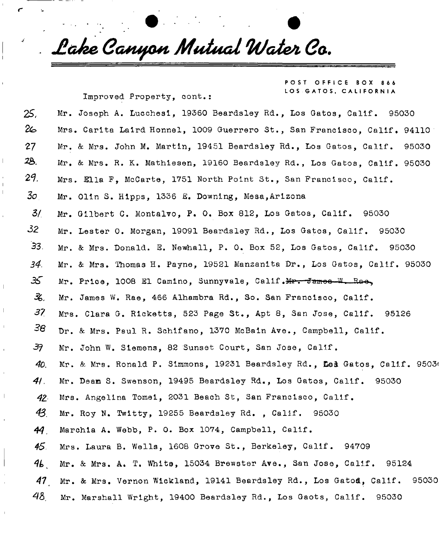*JlcJz e GcwufOtt Mutua l fy/cU&i Ga .* 

Improved Property, cont**.s** 

POST OFFICE BOX 866 LOS GATOS, CALIFORNIA

25. Mr. Joseph A. Lucchesi, 19360 Beardsley Rd., Los Gatos, Calif. 95030  $26$  Mrs. Carita Laird Honnel, 1009 Guerrero St., San Francisco, Calif, 94110: 27 Mr. & Mrs. John M. Martin, 19451 Beardsley Rd., Los Gatos, Calif. 95030 22>. Mr. & Mrs. R. K. Mathiesen, 19160 Beardsley Rd. , Los Gatos, Calif. 95030  $2\%$  Mrs. Ella F, McCarte, 1751 North Point St., San Francisco, Calif. 30 Mr. Olin S. Hipps, 1336 E. Downing, Mesa, Arizona 3/. Mr. Gilbert C. Montalvo, P. 0. Box 812, Los Gatos, Calif. 95030  $32$  Mr. Lester 0. Morgan, 19091 Beardsley Rd., Los Gatos, Calif. 95030 33- Mr. & Mrs. Donald. E. Newhall, P. 0. Box 52, Los Gatos, Calif. 95030 *34.* Mr. & Mrs. Thomas H. Payne, 19521 Manzanita Dr., Los Gatos, Calif. 95030 35 Mr. Price, 1008 El Camino, Sunnyvale, Calif.Mr. -frameo **W.** Rao, 孓. Mr. James W. Rae, 466 Alhambra Rd., So. San Francisco, Calif. 37 Mrs. Clara G. Ricketts, 523 Page St., Apt 8, San Jose, Calif. 95126 38 Dr. & Mrs. Paul R. Schifano, 1370 McBain Ave., Campbell, Calif. *3f* Mr. John W. Siemens, 82 Sunset Court, San Jose, Calif. 40. Mr. & Mrs. Ronald P. Simmons, 19231 Beardsley Rd., Led Gatos, Calif. 95036 *41.* Mr. Deam S. Swenson, 19495 Beardsley Rd., Los Gatos, Calif. 95030 4Z Mrs. Angelina Tomei, 2031 Beach St, San Francisco, Calif.  $43$  Mr. Roy N. Twitty, 19255 Beardsley Rd., Calif. 95030 *44* Marchia A. Webb, P. 0. Box 1074, Campbell, Calif. *4-5*. Mrs. Laura B. Wells, 1608 Grove St., Berkeley, Calif. 94709  $46$  Mr. & Mrs. A. T. White, 15034 Brewster Ave., San Jose, Calif. 95124 *41* Mr. & Mrs. Vernon Wickland, 19141 Beardsley Rd., Los Gatod, Calif. 95030 48 Mr. Marshall Wright, 19400 Beardsley Rd., Los Gaots, Calif. 95030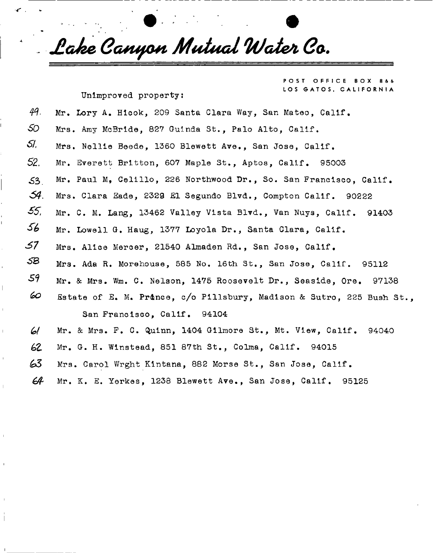*. Jlak e Ga+tyo+i Mutua l TdJateSi Ga .* 

Unimproved property:

FFICE BOX 866 LOS GATOS, CALIFORNIA

Unimproved property: 49.  $50$  Mrs. Amy McBride, 827 Guinda St., Palo Alto, Calif.  $\sigma$ 52. Mr. Everett Britton, 607 Maple St., Aptos, Calif. 95003 **52,** Mr. Everett Britton, 607 Maple St., Aptos, Calif. 95003  $54.$ Mrs. Clara Eade, 2329 El Segundo Blvd., Compton Calif. 90222 55. Mr. C. M. Lang, 13462 Valley Vista Blvd., Van Nuys, Calif. 91403  $\mathcal{L}(\mathcal{L})$  $\mathcal{L}^{\mathcal{M}}$ 58 95112 ^ Mrs. Ada R. Morehouse, 585 No. 16th St., San Jose, Calif. 95112  $\mathcal{M}_\mathrm{max}$  Mrs. We are the Mrs. We are the Mrs. We are the  $\mathcal{M}_\mathrm{max}$ .Estate of E. M. PrAnce, c/o Pillsbury, Madison & Sutro, 225 Bush St., San Francisco, Calif. 94104 Mr. & Mrs. F. C. Quinn, 1404 Gilmore St., Mt. View. Calif. 61 94040  $M_{\rm H}$  ,  $M_{\rm H}$  ,  $M_{\rm H}$  ,  $M_{\rm H}$  ,  $M_{\rm H}$  ,  $M_{\rm H}$  ,  $M_{\rm H}$  ,  $M_{\rm H}$  ,  $M_{\rm H}$  ,  $M_{\rm H}$  ,  $M_{\rm H}$ 63 63 Mrs. Carol Wrght Kintana, 882 Morse St., San Jose, Calif.

Mr. K. E. Yerkes, 1238 Blewett Ave., San Jose, Calif. 95125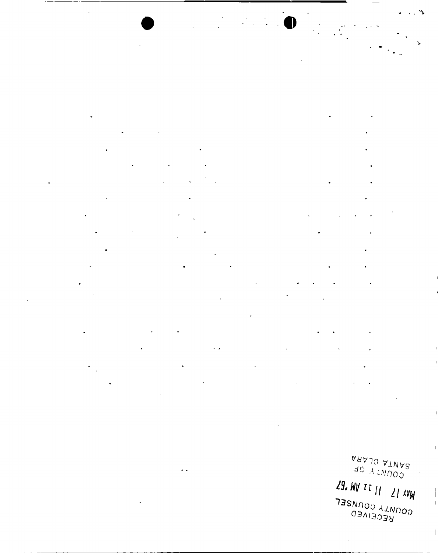$\bullet$ 

 $\ddot{\phantom{0}}$ 

 $\sim$   $\lambda$ 

 $\ddot{\phantom{1}}$ 

ARAJO ATNAR<br>ARAJO ATNAR 29. WV II 11 21 AVW  $\begin{array}{c} \begin{array}{c} \end{array} \end{array}$  $\overline{1}$ 

 $\bar{1}$ 

 $\mathbb T$ 

 $\mathsf I$ 

**COUNTY COUNSEL**<br>RECEIVED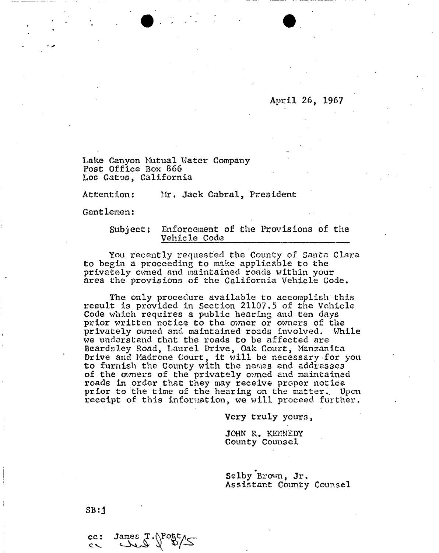April 26, 1967

Lake Canyon Mutual Water Company Post Office Box 866 Los Gatos, California

Attention: Mr. Jack Cabral, President

Gentlemen:

### Subject: Enforcement of the Provisions of the Vehicle Code

You recently requested the County of Santa Clara to begin a proceeding to make applicable to the privately corned and maintained roads within your area the provisions of the California Vehicle Code.

The only procedure available to accomplish this result is provided in Section 21107,5 of the Vehicle Code which requires a public hearing and ten days prior written notice to the owner or owners of the privately owned and maintained roads involved. While we understand that the roads to be affected are Beardsley Road, Laurel Drive, Oak Court, Mansanita Drive and Madrone Court, it will be necessary for you to furnish the County with the names and addresses of the owners of the privately owned and maintained roads in order that they may receive proper notice prior to the time of the hearing on the matter. Upon receipt of this information, we will proceed further.

Very truly yours,

JOHN R. KENNEDY County Counsel

Selby Brown, Jr. Assistant County Counsel

SB: j

 $cc:$  $\sim$ 

James T.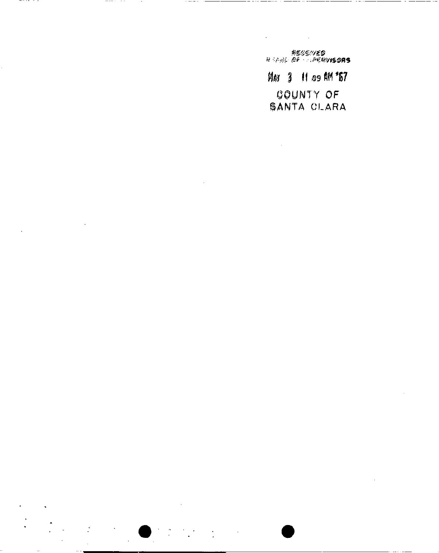⋐⋽⋎⋋⋧⋧⋥⋦<br>**⋑⋪**Ѻ*Ѻ⋓⋎⋫⋽⋷∊∊⋷*⋪⋋<sub>⋺⋟⋏⋨</sub>∊⋢

 $\ddot{\phantom{a}}$ 

MAY 3 11 09 AM "57 COUNTY OF SANTA CLARA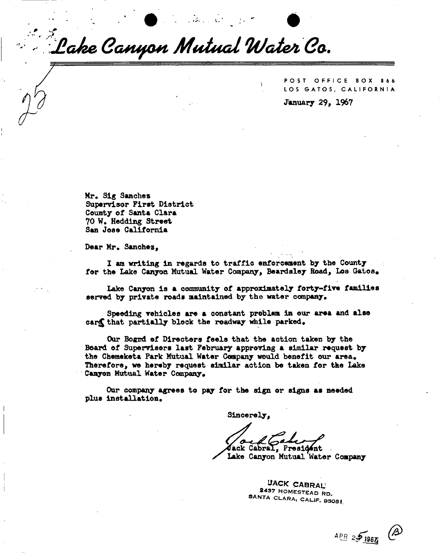*J\*. Jlok e Garufton Mutua l WcUesi Ga .* 

POST OFFICE BOX 866 LOS GATOS, CALIFORNIA **January 29, 1967** 

**Mr\* Sig Sanchez Supervisor First District County of Santa Clara 70 W. Hedding Street San Jose California** 

Dear Mr. Sanchez,

**I am writing in regards to traffic enforcement by the County**  for the Lake Canyon Mutual Water Company, Beardsley Road, Los Gatos.

**Lake Canyon is a community of approximately forty-five families**  served by private roads maintained by the water company.

**Speeding vehicles are a constant problem in our area and also**  car**s** that partially block the roadway while parked.

Our Bognd of Directers feels that the action taken by the **Board of Supervisors last February approving a similar request by**  the Chemeketa Park Mutual Water Company would benefit our area. **Therefore, we hereby request similar action be taken for the Lake**  Canyon Mutual Water Company.

**Our company agrees to pay for the sign or signs as needed**  plus installation.

**Sincerely,** 

**Cabral, President** 

**/ Lake Canyon Mutual Water Company** 

UACK CABRAL 2437 HOMESTEAD RD. SANTA CLARA, CALIF. 95051.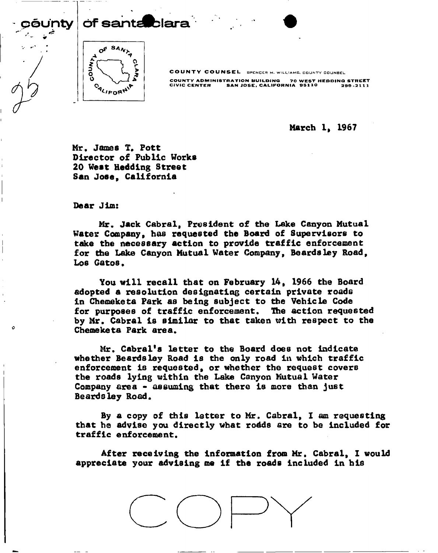pf santa blara



COUNTY COUNSEL BPENCER M. WILLIAMS, COUNTY COUNBEL

COUNTY ADMINISTRATION BUILDING 70 WEST HEDDINQ STREET CIVIC CENTER SAN JOSE > CALIFORNIA OBllO 299-2111

**March 1, 1967** 

Mr. James T. Pott **Director of Public Works 20 West Hedding Street San Jose, California** 

**Dear Jim:** 

**Mr. Jack Cabral, President of the Lake Canyon Mutual Water Company, has requested the Board of Supervisors to take the necessary action to provide traffic enforcement for the Lake Canyon Mutual Water Company, Beards ley Road, Los Gatos.** 

**You will recall that on February 14, 1966 the Board adopted a resolution designating certain private roads in Chemeketa Park as being subject to the Vehicle Code for purposes of traffic enforcement. The action requested by Mr. Cabral is similar to that taken with respect to the Chemeketa Park area.** 

**Mr. Cabral's letter to the Board does not indicate whether Beards ley Road is the only road in which traffic enforcement is requested, or whether the request covers the roads lying within the Lake Canyon Mutual Water Company area - assuming that there is more than just Beards ley Road.** 

**By a copy of this letter to Mr. Cabral, I am requesting that he advise you directly what rodds are to be included for traffic e nf or cement.** 

**After receiving the information from Mr. Cabral, I would appreciate your advising me if the roads included in his** 

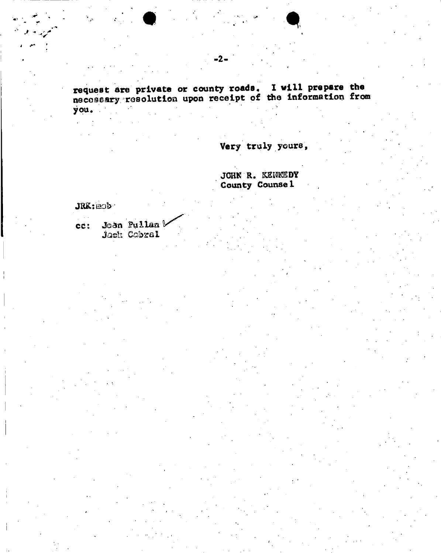request are private or county roads. I will prepare the necessary resolution upon receipt of the information from you.

Very truly yours,

JOHN R. KENKEDY County Counse 1

**JRK: BOD** 

 $\mathbf{a}_{\mathrm{in}}$ 

cc: Joan Pullan b Jack Cabral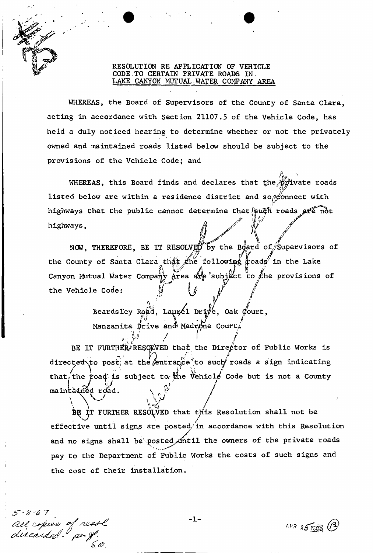# RESOLUTION RE APPLICATION OF VEHICLE CODE TO CERTAIN PRIVATE ROADS IN LAKE CANYON MUTUAL WATER COMPANY AREA

WHEREAS, the Board of Supervisors of the County of Santa Clara. acting in accordance with Section 21107.5 of the Vehicle Code, has held a duly noticed hearing to determine whether or not the privately owned and maintained roads listed below should be subject to the provisions of the Vehicle Code; and

WHEREAS, this Board finds and declares that the private roads listed below are within a residence district and sor connect with highways that the public cannot determine that such roads are not highways,

NOW, THEREFORE, BE IT RESOLVED by the Board of Supervisors of the County of Santa Clara that the following roads in the Lake Canyon Mutual Water Company Area are subject to the provisions of the Vehicle Code:

> Beardsley Road, Laurel Drive, Oak Court, Manzanita Drive and Madrone Court.

BE IT FURTHER RESOLVED that the Director of Public Works is directed to post at the entrance to such roads a sign indicating that, the road is subject to the Vehicle Code but is not a County maintained road.

BE IT FURTHER RESOLVED that this Resolution shall not be effective until signs are posted in accordance with this Resolution and no signs shall be posted until the owners of the private roads pay to the Department of Public Works the costs of such signs and the cost of their installation.

all copies of nesse<br>discarded and

**APR 25 130 (B)**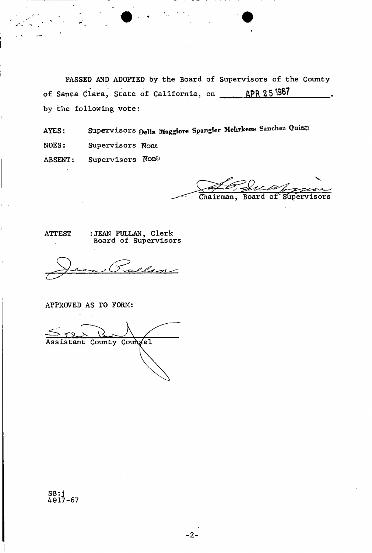PASSED AND ADOPTED by the Board of Supervisors of the County of Santa Clara, State of California, on APR 25 1967 by the following vote:

Supervisors Della Maggiore Spangler Mehrkens Sanchez Quite AYES: NOES: Supervisors None Supervisors Non **ABSENT:** 

Chairman, Board of Supervisors

**ATTEST** 

:JEAN PULLAN, Clerk<br>Board of Supervisors

APPROVED AS TO FORM:

Assistant County Coungel

SB:j<br>4017-67